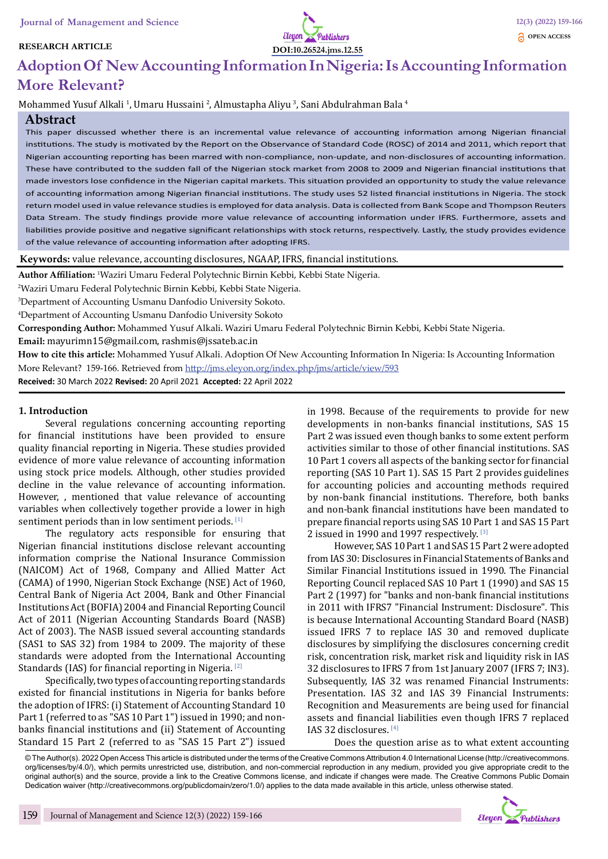#### **RESEARCH ARTICLE**



# **Adoption Of New Accounting Information In Nigeria: Is Accounting Information More Relevant?**

Mohammed Yusuf Alkali <sup>i</sup>, Umaru Hussaini <sup>2</sup>, Almustapha Aliyu <sup>3</sup>, Sani Abdulrahman Bala <sup>4</sup>

### **Abstract**

This paper discussed whether there is an incremental value relevance of accounting information among Nigerian financial institutions. The study is motivated by the Report on the Observance of Standard Code (ROSC) of 2014 and 2011, which report that Nigerian accounting reporting has been marred with non-compliance, non-update, and non-disclosures of accounting information. These have contributed to the sudden fall of the Nigerian stock market from 2008 to 2009 and Nigerian financial institutions that made investors lose confidence in the Nigerian capital markets. This situation provided an opportunity to study the value relevance of accounting information among Nigerian financial institutions. The study uses 52 listed financial institutions in Nigeria. The stock return model used in value relevance studies is employed for data analysis. Data is collected from Bank Scope and Thompson Reuters Data Stream. The study findings provide more value relevance of accounting information under IFRS. Furthermore, assets and liabilities provide positive and negative significant relationships with stock returns, respectively. Lastly, the study provides evidence of the value relevance of accounting information after adopting IFRS.

**Keywords:** value relevance, accounting disclosures, NGAAP, IFRS, financial institutions.

**Author Affiliation:** <sup>1</sup> Waziri Umaru Federal Polytechnic Birnin Kebbi, Kebbi State Nigeria.

2 Waziri Umaru Federal Polytechnic Birnin Kebbi, Kebbi State Nigeria.

3 Department of Accounting Usmanu Danfodio University Sokoto.

4 Department of Accounting Usmanu Danfodio University Sokoto

**Corresponding Author:** Mohammed Yusuf Alkali. Waziri Umaru Federal Polytechnic Birnin Kebbi, Kebbi State Nigeria.

**Email:** mayurimn15@gmail.com, rashmis@jssateb.ac.in

**How to cite this article:** Mohammed Yusuf Alkali. Adoption Of New Accounting Information In Nigeria: Is Accounting Information More Relevant? 159-166. Retrieved from http://jms.eleyon.org/index.php/jms/article/view/593

**Received:** 30 March 2022 **Revised:** 20 April 2021 **Accepted:** 22 April 2022

#### **1. Introduction**

Several regulations concerning accounting reporting for financial institutions have been provided to ensure quality financial reporting in Nigeria. These studies provided evidence of more value relevance of accounting information using stock price models. Although, other studies provided decline in the value relevance of accounting information. However, , mentioned that value relevance of accounting variables when collectively together provide a lower in high sentiment periods than in low sentiment periods. [1]

The regulatory acts responsible for ensuring that Nigerian financial institutions disclose relevant accounting information comprise the National Insurance Commission (NAICOM) Act of 1968, Company and Allied Matter Act (CAMA) of 1990, Nigerian Stock Exchange (NSE) Act of 1960, Central Bank of Nigeria Act 2004, Bank and Other Financial Institutions Act (BOFIA) 2004 and Financial Reporting Council Act of 2011 (Nigerian Accounting Standards Board (NASB) Act of 2003). The NASB issued several accounting standards (SAS1 to SAS 32) from 1984 to 2009. The majority of these standards were adopted from the International Accounting Standards (IAS) for financial reporting in Nigeria.<sup>[2]</sup>

Specifically, two types of accounting reporting standards existed for financial institutions in Nigeria for banks before the adoption of IFRS: (i) Statement of Accounting Standard 10 Part 1 (referred to as "SAS 10 Part 1") issued in 1990; and nonbanks financial institutions and (ii) Statement of Accounting Standard 15 Part 2 (referred to as "SAS 15 Part 2") issued

in 1998. Because of the requirements to provide for new developments in non-banks financial institutions, SAS 15 Part 2 was issued even though banks to some extent perform activities similar to those of other financial institutions. SAS 10 Part 1 covers all aspects of the banking sector for financial reporting (SAS 10 Part 1). SAS 15 Part 2 provides guidelines for accounting policies and accounting methods required by non-bank financial institutions. Therefore, both banks and non-bank financial institutions have been mandated to prepare financial reports using SAS 10 Part 1 and SAS 15 Part 2 issued in 1990 and 1997 respectively.  $[3]$ 

However, SAS 10 Part 1 and SAS 15 Part 2 were adopted from IAS 30: Disclosures in Financial Statements of Banks and Similar Financial Institutions issued in 1990. The Financial Reporting Council replaced SAS 10 Part 1 (1990) and SAS 15 Part 2 (1997) for "banks and non-bank financial institutions in 2011 with IFRS7 "Financial Instrument: Disclosure". This is because International Accounting Standard Board (NASB) issued IFRS 7 to replace IAS 30 and removed duplicate disclosures by simplifying the disclosures concerning credit risk, concentration risk, market risk and liquidity risk in IAS 32 disclosures to IFRS 7 from 1st January 2007 (IFRS 7; IN3). Subsequently, IAS 32 was renamed Financial Instruments: Presentation. IAS 32 and IAS 39 Financial Instruments: Recognition and Measurements are being used for financial assets and financial liabilities even though IFRS 7 replaced IAS 32 disclosures. [4]

Does the question arise as to what extent accounting

© The Author(s). 2022 Open Access This article is distributed under the terms of the Creative Commons Attribution 4.0 International License (http://creativecommons. org/licenses/by/4.0/), which permits unrestricted use, distribution, and non-commercial reproduction in any medium, provided you give appropriate credit to the original author(s) and the source, provide a link to the Creative Commons license, and indicate if changes were made. The Creative Commons Public Domain Dedication waiver (http://creativecommons.org/publicdomain/zero/1.0/) applies to the data made available in this article, unless otherwise stated.

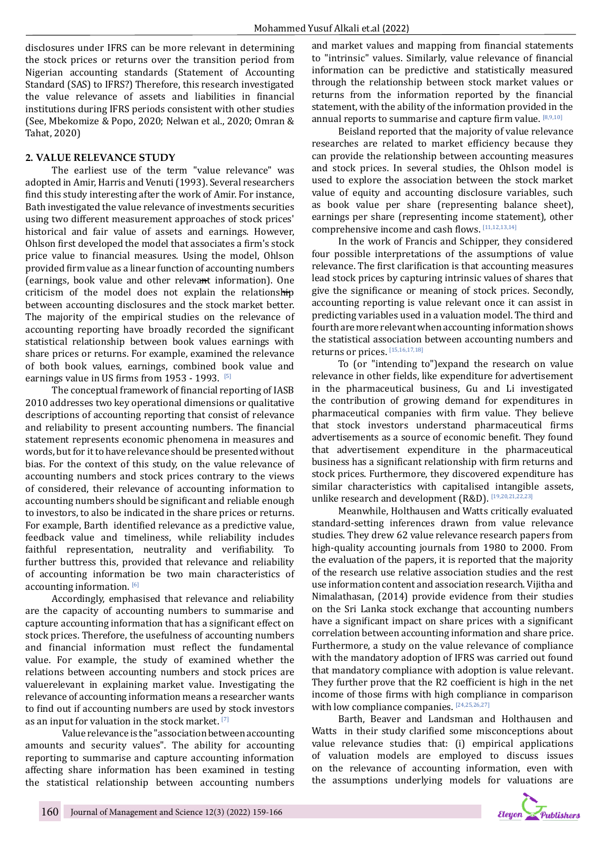disclosures under IFRS can be more relevant in determining the stock prices or returns over the transition period from Nigerian accounting standards (Statement of Accounting Standard (SAS) to IFRS?) Therefore, this research investigated the value relevance of assets and liabilities in financial institutions during IFRS periods consistent with other studies (See, Mbekomize & Popo, 2020; Nelwan et al., 2020; Omran & Tahat, 2020)

#### **2. VALUE RELEVANCE STUDY**

The earliest use of the term "value relevance" was adopted in Amir, Harris and Venuti (1993). Several researchers find this study interesting after the work of Amir. For instance, Bath investigated the value relevance of investments securities using two different measurement approaches of stock prices' historical and fair value of assets and earnings. However, Ohlson first developed the model that associates a firm's stock price value to financial measures. Using the model, Ohlson provided firm value as a linear function of accounting numbers (earnings, book value and other relevant information). One criticism of the model does not explain the relationship between accounting disclosures and the stock market better. The majority of the empirical studies on the relevance of accounting reporting have broadly recorded the significant statistical relationship between book values earnings with share prices or returns. For example, examined the relevance of both book values, earnings, combined book value and earnings value in US firms from 1953 - 1993. [5]

The conceptual framework of financial reporting of IASB 2010 addresses two key operational dimensions or qualitative descriptions of accounting reporting that consist of relevance and reliability to present accounting numbers. The financial statement represents economic phenomena in measures and words, but for it to have relevance should be presented without bias. For the context of this study, on the value relevance of accounting numbers and stock prices contrary to the views of considered, their relevance of accounting information to accounting numbers should be significant and reliable enough to investors, to also be indicated in the share prices or returns. For example, Barth identified relevance as a predictive value, feedback value and timeliness, while reliability includes faithful representation, neutrality and verifiability. To further buttress this, provided that relevance and reliability of accounting information be two main characteristics of accounting information. [6]

Accordingly, emphasised that relevance and reliability are the capacity of accounting numbers to summarise and capture accounting information that has a significant effect on stock prices. Therefore, the usefulness of accounting numbers and financial information must reflect the fundamental value. For example, the study of examined whether the relations between accounting numbers and stock prices are valuerelevant in explaining market value. Investigating the relevance of accounting information means a researcher wants to find out if accounting numbers are used by stock investors as an input for valuation in the stock market. [7]

Value relevance is the "association between accounting amounts and security values". The ability for accounting reporting to summarise and capture accounting information affecting share information has been examined in testing the statistical relationship between accounting numbers

and market values and mapping from financial statements to "intrinsic" values. Similarly, value relevance of financial information can be predictive and statistically measured through the relationship between stock market values or returns from the information reported by the financial statement, with the ability of the information provided in the annual reports to summarise and capture firm value.  $[8,9,10]$ 

Beisland reported that the majority of value relevance researches are related to market efficiency because they can provide the relationship between accounting measures and stock prices. In several studies, the Ohlson model is used to explore the association between the stock market value of equity and accounting disclosure variables, such as book value per share (representing balance sheet), earnings per share (representing income statement), other comprehensive income and cash flows. [11,12,13,14]

In the work of Francis and Schipper, they considered four possible interpretations of the assumptions of value relevance. The first clarification is that accounting measures lead stock prices by capturing intrinsic values of shares that give the significance or meaning of stock prices. Secondly, accounting reporting is value relevant once it can assist in predicting variables used in a valuation model. The third and fourth are more relevant when accounting information shows the statistical association between accounting numbers and returns or prices. [15,16,17,18]

To (or "intending to")expand the research on value relevance in other fields, like expenditure for advertisement in the pharmaceutical business, Gu and Li investigated the contribution of growing demand for expenditures in pharmaceutical companies with firm value. They believe that stock investors understand pharmaceutical firms advertisements as a source of economic benefit. They found that advertisement expenditure in the pharmaceutical business has a significant relationship with firm returns and stock prices. Furthermore, they discovered expenditure has similar characteristics with capitalised intangible assets, unlike research and development (R&D). [19,20,21,22,23]

Meanwhile, Holthausen and Watts critically evaluated standard-setting inferences drawn from value relevance studies. They drew 62 value relevance research papers from high-quality accounting journals from 1980 to 2000. From the evaluation of the papers, it is reported that the majority of the research use relative association studies and the rest use information content and association research. Vijitha and Nimalathasan, (2014) provide evidence from their studies on the Sri Lanka stock exchange that accounting numbers have a significant impact on share prices with a significant correlation between accounting information and share price. Furthermore, a study on the value relevance of compliance with the mandatory adoption of IFRS was carried out found that mandatory compliance with adoption is value relevant. They further prove that the R2 coefficient is high in the net income of those firms with high compliance in comparison with low compliance companies. [24,25,26,27]

Barth, Beaver and Landsman and Holthausen and Watts in their study clarified some misconceptions about value relevance studies that: (i) empirical applications of valuation models are employed to discuss issues on the relevance of accounting information, even with the assumptions underlying models for valuations are

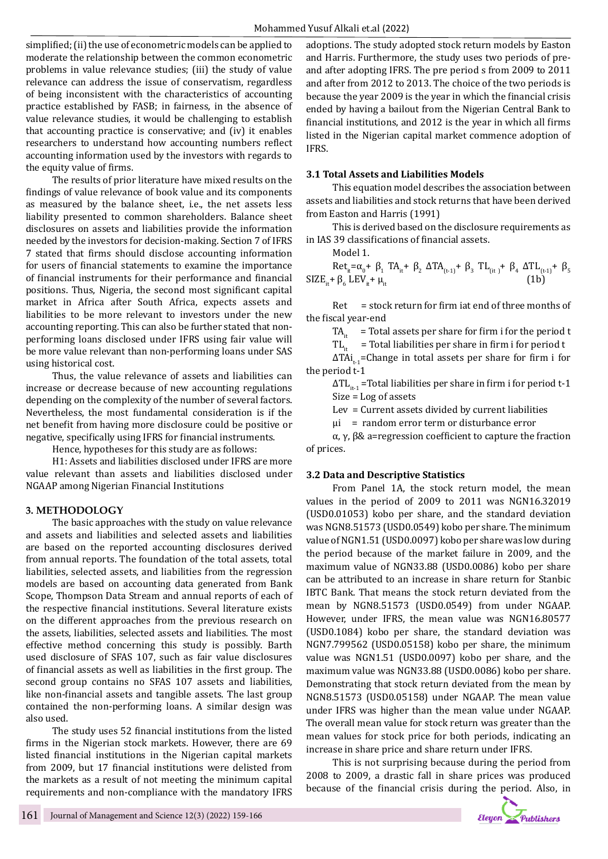simplified; (ii) the use of econometric models can be applied to moderate the relationship between the common econometric problems in value relevance studies; (iii) the study of value relevance can address the issue of conservatism, regardless of being inconsistent with the characteristics of accounting practice established by FASB; in fairness, in the absence of value relevance studies, it would be challenging to establish that accounting practice is conservative; and (iv) it enables researchers to understand how accounting numbers reflect accounting information used by the investors with regards to the equity value of firms.

The results of prior literature have mixed results on the findings of value relevance of book value and its components as measured by the balance sheet, i.e., the net assets less liability presented to common shareholders. Balance sheet disclosures on assets and liabilities provide the information needed by the investors for decision-making. Section 7 of IFRS 7 stated that firms should disclose accounting information for users of financial statements to examine the importance of financial instruments for their performance and financial positions. Thus, Nigeria, the second most significant capital market in Africa after South Africa, expects assets and liabilities to be more relevant to investors under the new accounting reporting. This can also be further stated that nonperforming loans disclosed under IFRS using fair value will be more value relevant than non-performing loans under SAS using historical cost.

Thus, the value relevance of assets and liabilities can increase or decrease because of new accounting regulations depending on the complexity of the number of several factors. Nevertheless, the most fundamental consideration is if the net benefit from having more disclosure could be positive or negative, specifically using IFRS for financial instruments.

Hence, hypotheses for this study are as follows:

H1: Assets and liabilities disclosed under IFRS are more value relevant than assets and liabilities disclosed under NGAAP among Nigerian Financial Institutions

### **3. METHODOLOGY**

The basic approaches with the study on value relevance and assets and liabilities and selected assets and liabilities are based on the reported accounting disclosures derived from annual reports. The foundation of the total assets, total liabilities, selected assets, and liabilities from the regression models are based on accounting data generated from Bank Scope, Thompson Data Stream and annual reports of each of the respective financial institutions. Several literature exists on the different approaches from the previous research on the assets, liabilities, selected assets and liabilities. The most effective method concerning this study is possibly. Barth used disclosure of SFAS 107, such as fair value disclosures of financial assets as well as liabilities in the first group. The second group contains no SFAS 107 assets and liabilities, like non-financial assets and tangible assets. The last group contained the non-performing loans. A similar design was also used.

The study uses 52 financial institutions from the listed firms in the Nigerian stock markets. However, there are 69 listed financial institutions in the Nigerian capital markets from 2009, but 17 financial institutions were delisted from the markets as a result of not meeting the minimum capital requirements and non-compliance with the mandatory IFRS adoptions. The study adopted stock return models by Easton and Harris. Furthermore, the study uses two periods of preand after adopting IFRS. The pre period s from 2009 to 2011 and after from 2012 to 2013. The choice of the two periods is because the year 2009 is the year in which the financial crisis ended by having a bailout from the Nigerian Central Bank to financial institutions, and 2012 is the year in which all firms listed in the Nigerian capital market commence adoption of IFRS.

#### **3.1 Total Assets and Liabilities Models**

This equation model describes the association between assets and liabilities and stock returns that have been derived from Easton and Harris (1991)

This is derived based on the disclosure requirements as in IAS 39 classifications of financial assets.

Model 1.

 $\text{Ret}_{it} = \alpha_0 + \beta_1 \text{ TA}_{it} + \beta_2 \Delta \text{TA}_{(t-1)} + \beta_3 \text{ TL}_{(t+1)} + \beta_4 \Delta \text{TL}_{(t-1)} + \beta_5$  $SIZE_{it} + \beta_6 LEV_{it} + \mu_{it}$  (1b)

Ret = stock return for firm iat end of three months of the fiscal year-end

 $TA_{i_t}$  = Total assets per share for firm i for the period t

 $TL_{i_t}$  = Total liabilities per share in firm i for period t

ΔTAi<sub>t</sub>-Change in total assets per share for firm i for the period t-1

 $\Delta TL_{it-1}$  =Total liabilities per share in firm i for period t-1 Size = Log of assets

Lev = Current assets divided by current liabilities

μi = random error term or disturbance error

α, γ, β& a=regression coefficient to capture the fraction of prices.

### **3.2 Data and Descriptive Statistics**

From Panel 1A, the stock return model, the mean values in the period of 2009 to 2011 was NGN16.32019 (USD0.01053) kobo per share, and the standard deviation was NGN8.51573 (USD0.0549) kobo per share. The minimum value of NGN1.51 (USD0.0097) kobo per share was low during the period because of the market failure in 2009, and the maximum value of NGN33.88 (USD0.0086) kobo per share can be attributed to an increase in share return for Stanbic IBTC Bank. That means the stock return deviated from the mean by NGN8.51573 (USD0.0549) from under NGAAP. However, under IFRS, the mean value was NGN16.80577 (USD0.1084) kobo per share, the standard deviation was NGN7.799562 (USD0.05158) kobo per share, the minimum value was NGN1.51 (USD0.0097) kobo per share, and the maximum value was NGN33.88 (USD0.0086) kobo per share. Demonstrating that stock return deviated from the mean by NGN8.51573 (USD0.05158) under NGAAP. The mean value under IFRS was higher than the mean value under NGAAP. The overall mean value for stock return was greater than the mean values for stock price for both periods, indicating an increase in share price and share return under IFRS.

This is not surprising because during the period from 2008 to 2009, a drastic fall in share prices was produced because of the financial crisis during the period. Also, in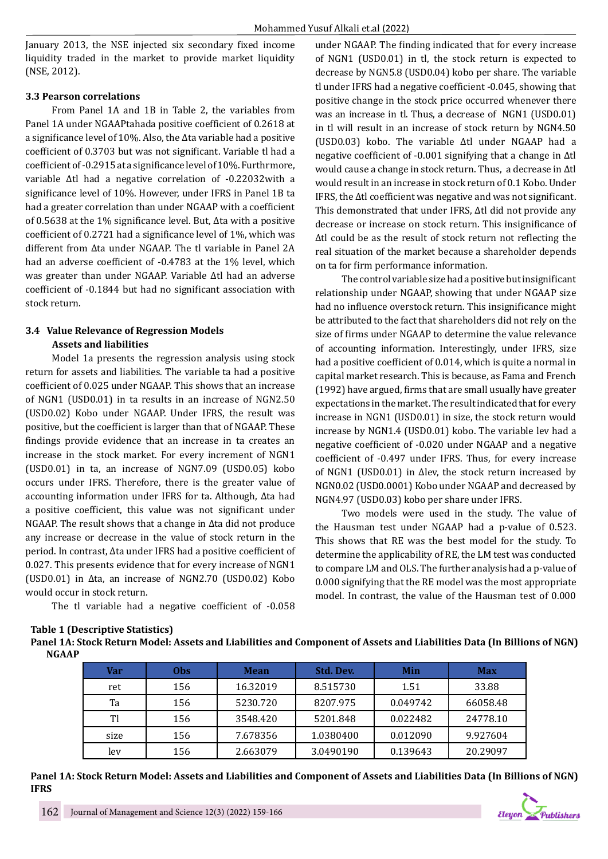January 2013, the NSE injected six secondary fixed income liquidity traded in the market to provide market liquidity (NSE, 2012).

### **3.3 Pearson correlations**

From Panel 1A and 1B in Table 2, the variables from Panel 1A under NGAAPtahada positive coefficient of 0.2618 at a significance level of 10%. Also, the Δta variable had a positive coefficient of 0.3703 but was not significant. Variable tl had a coefficient of -0.2915 at a significance level of 10%. Furthrmore, variable Δtl had a negative correlation of -0.22032with a significance level of 10%. However, under IFRS in Panel 1B ta had a greater correlation than under NGAAP with a coefficient of 0.5638 at the 1% significance level. But, Δta with a positive coefficient of 0.2721 had a significance level of 1%, which was different from Δta under NGAAP. The tl variable in Panel 2A had an adverse coefficient of -0.4783 at the 1% level, which was greater than under NGAAP. Variable Δtl had an adverse coefficient of -0.1844 but had no significant association with stock return.

# **3.4 Value Relevance of Regression Models Assets and liabilities**

Model 1a presents the regression analysis using stock return for assets and liabilities. The variable ta had a positive coefficient of 0.025 under NGAAP. This shows that an increase of NGN1 (USD0.01) in ta results in an increase of NGN2.50 (USD0.02) Kobo under NGAAP. Under IFRS, the result was positive, but the coefficient is larger than that of NGAAP. These findings provide evidence that an increase in ta creates an increase in the stock market. For every increment of NGN1 (USD0.01) in ta, an increase of NGN7.09 (USD0.05) kobo occurs under IFRS. Therefore, there is the greater value of accounting information under IFRS for ta. Although, Δta had a positive coefficient, this value was not significant under NGAAP. The result shows that a change in Δta did not produce any increase or decrease in the value of stock return in the period. In contrast, Δta under IFRS had a positive coefficient of 0.027. This presents evidence that for every increase of NGN1 (USD0.01) in Δta, an increase of NGN2.70 (USD0.02) Kobo would occur in stock return.

The tl variable had a negative coefficient of -0.058

under NGAAP. The finding indicated that for every increase of NGN1 (USD0.01) in tl, the stock return is expected to decrease by NGN5.8 (USD0.04) kobo per share. The variable tl under IFRS had a negative coefficient -0.045, showing that positive change in the stock price occurred whenever there was an increase in tl. Thus, a decrease of NGN1 (USD0.01) in tl will result in an increase of stock return by NGN4.50 (USD0.03) kobo. The variable Δtl under NGAAP had a negative coefficient of -0.001 signifying that a change in Δtl would cause a change in stock return. Thus, a decrease in Δtl would result in an increase in stock return of 0.1 Kobo. Under IFRS, the Δtl coefficient was negative and was not significant. This demonstrated that under IFRS, Δtl did not provide any decrease or increase on stock return. This insignificance of Δtl could be as the result of stock return not reflecting the real situation of the market because a shareholder depends on ta for firm performance information.

The control variable size had a positive but insignificant relationship under NGAAP, showing that under NGAAP size had no influence overstock return. This insignificance might be attributed to the fact that shareholders did not rely on the size of firms under NGAAP to determine the value relevance of accounting information. Interestingly, under IFRS, size had a positive coefficient of 0.014, which is quite a normal in capital market research. This is because, as Fama and French (1992) have argued, firms that are small usually have greater expectations in the market. The result indicated that for every increase in NGN1 (USD0.01) in size, the stock return would increase by NGN1.4 (USD0.01) kobo. The variable lev had a negative coefficient of -0.020 under NGAAP and a negative coefficient of -0.497 under IFRS. Thus, for every increase of NGN1 (USD0.01) in Δlev, the stock return increased by NGN0.02 (USD0.0001) Kobo under NGAAP and decreased by NGN4.97 (USD0.03) kobo per share under IFRS.

Two models were used in the study. The value of the Hausman test under NGAAP had a p-value of 0.523. This shows that RE was the best model for the study. To determine the applicability of RE, the LM test was conducted to compare LM and OLS. The further analysis had a p-value of 0.000 signifying that the RE model was the most appropriate model. In contrast, the value of the Hausman test of 0.000

### **Table 1 (Descriptive Statistics)**

**Panel 1A: Stock Return Model: Assets and Liabilities and Component of Assets and Liabilities Data (In Billions of NGN) NGAAP** 

| Var  | 0bs | <b>Mean</b> | Std. Dev. | Min      | <b>Max</b> |
|------|-----|-------------|-----------|----------|------------|
| ret  | 156 | 16.32019    | 8.515730  | 1.51     | 33.88      |
| Ta   | 156 | 5230.720    | 8207.975  | 0.049742 | 66058.48   |
| TI   | 156 | 3548.420    | 5201.848  | 0.022482 | 24778.10   |
| size | 156 | 7.678356    | 1.0380400 | 0.012090 | 9.927604   |
| lev  | 156 | 2.663079    | 3.0490190 | 0.139643 | 20.29097   |

**Panel 1A: Stock Return Model: Assets and Liabilities and Component of Assets and Liabilities Data (In Billions of NGN) IFRS**

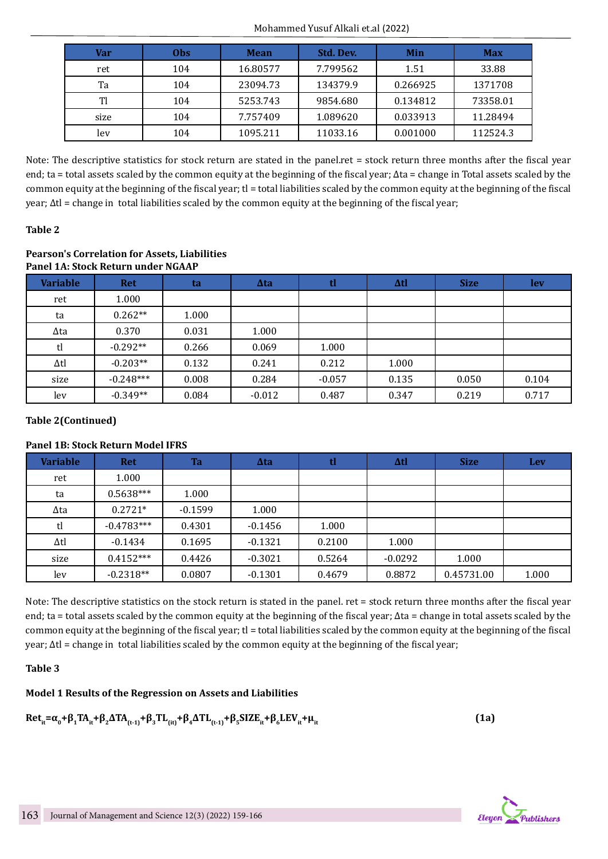| Var  | <b>Obs</b> | <b>Mean</b> | Std. Dev. | Min      | <b>Max</b> |
|------|------------|-------------|-----------|----------|------------|
| ret  | 104        | 16.80577    | 7.799562  | 1.51     | 33.88      |
| Ta   | 104        | 23094.73    | 134379.9  | 0.266925 | 1371708    |
| Tl   | 104        | 5253.743    | 9854.680  | 0.134812 | 73358.01   |
| size | 104        | 7.757409    | 1.089620  | 0.033913 | 11.28494   |
| lev  | 104        | 1095.211    | 11033.16  | 0.001000 | 112524.3   |

Note: The descriptive statistics for stock return are stated in the panel.ret = stock return three months after the fiscal year end; ta = total assets scaled by the common equity at the beginning of the fiscal year; Δta = change in Total assets scaled by the common equity at the beginning of the fiscal year; tl = total liabilities scaled by the common equity at the beginning of the fiscal year; Δtl = change in total liabilities scaled by the common equity at the beginning of the fiscal year;

### **Table 2**

### **Pearson's Correlation for Assets, Liabilities Panel 1A: Stock Return under NGAAP**

| <b>Variable</b> | <b>Ret</b>  | ta    | $\Delta$ ta | tl       | $\Delta t$ | <b>Size</b> | lev   |
|-----------------|-------------|-------|-------------|----------|------------|-------------|-------|
| ret             | 1.000       |       |             |          |            |             |       |
| ta              | $0.262**$   | 1.000 |             |          |            |             |       |
| Δta             | 0.370       | 0.031 | 1.000       |          |            |             |       |
| tl              | $-0.292**$  | 0.266 | 0.069       | 1.000    |            |             |       |
| $\Delta t$      | $-0.203**$  | 0.132 | 0.241       | 0.212    | 1.000      |             |       |
| size            | $-0.248***$ | 0.008 | 0.284       | $-0.057$ | 0.135      | 0.050       | 0.104 |
| lev             | $-0.349**$  | 0.084 | $-0.012$    | 0.487    | 0.347      | 0.219       | 0.717 |

# **Table 2(Continued)**

# **Panel 1B: Stock Return Model IFRS**

| <b>Variable</b> | <b>Ret</b>   | Ta        | $\Delta$ ta | $\mathbf{t}$ | $\Delta t$ | <b>Size</b> | Lev   |
|-----------------|--------------|-----------|-------------|--------------|------------|-------------|-------|
| ret             | 1.000        |           |             |              |            |             |       |
| ta              | $0.5638***$  | 1.000     |             |              |            |             |       |
| Δta             | $0.2721*$    | $-0.1599$ | 1.000       |              |            |             |       |
| tl              | $-0.4783***$ | 0.4301    | $-0.1456$   | 1.000        |            |             |       |
| $\Delta t$      | $-0.1434$    | 0.1695    | $-0.1321$   | 0.2100       | 1.000      |             |       |
| size            | $0.4152***$  | 0.4426    | $-0.3021$   | 0.5264       | $-0.0292$  | 1.000       |       |
| lev             | $-0.2318**$  | 0.0807    | $-0.1301$   | 0.4679       | 0.8872     | 0.45731.00  | 1.000 |

Note: The descriptive statistics on the stock return is stated in the panel. ret = stock return three months after the fiscal year end; ta = total assets scaled by the common equity at the beginning of the fiscal year; Δta = change in total assets scaled by the common equity at the beginning of the fiscal year; tl = total liabilities scaled by the common equity at the beginning of the fiscal year; Δtl = change in total liabilities scaled by the common equity at the beginning of the fiscal year;

# **Table 3**

# **Model 1 Results of the Regression on Assets and Liabilities**

$$
Ret_{it} = \alpha_0 + \beta_1 TA_{it} + \beta_2 A TA_{(t-1)} + \beta_3 TL_{(it)} + \beta_4 A TL_{(t-1)} + \beta_5 SIZE_{it} + \beta_6 LEV_{it} + \mu_{it}
$$
\n(1a)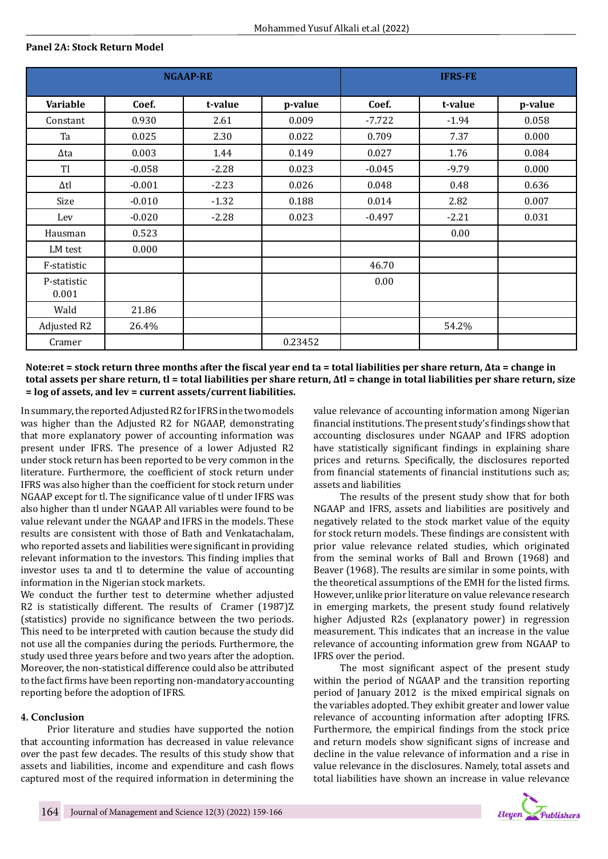### **Panel 2A: Stock Return Model**

|                      |          | <b>NGAAP-RE</b> | <b>IFRS-FE</b> |          |         |         |
|----------------------|----------|-----------------|----------------|----------|---------|---------|
| <b>Variable</b>      | Coef.    | t-value         | p-value        | Coef.    | t-value | p-value |
| Constant             | 0.930    | 2.61            | 0.009          | $-7.722$ | $-1.94$ | 0.058   |
| Ta                   | 0.025    | 2.30            | 0.022          | 0.709    | 7.37    | 0.000   |
| Δta                  | 0.003    | 1.44            | 0.149          | 0.027    | 1.76    | 0.084   |
| Tl                   | $-0.058$ | $-2.28$         | 0.023          | $-0.045$ | $-9.79$ | 0.000   |
| $\Delta \text{tl}$   | $-0.001$ | $-2.23$         | 0.026          | 0.048    | 0.48    | 0.636   |
| Size                 | $-0.010$ | $-1.32$         | 0.188          | 0.014    | 2.82    | 0.007   |
| Lev                  | $-0.020$ | $-2.28$         | 0.023          | $-0.497$ | $-2.21$ | 0.031   |
| Hausman              | 0.523    |                 |                |          | 0.00    |         |
| LM test              | 0.000    |                 |                |          |         |         |
| F-statistic          |          |                 |                | 46.70    |         |         |
| P-statistic<br>0.001 |          |                 |                | 0.00     |         |         |
| Wald                 | 21.86    |                 |                |          |         |         |
| Adjusted R2          | 26.4%    |                 |                |          | 54.2%   |         |
| Cramer               |          |                 | 0.23452        |          |         |         |

### **Note:ret = stock return three months after the fiscal year end ta = total liabilities per share return, Δta = change in total assets per share return, tl = total liabilities per share return, Δtl = change in total liabilities per share return, size = log of assets, and lev = current assets/current liabilities.**

In summary, the reported Adjusted R2 for IFRS in the two models was higher than the Adjusted R2 for NGAAP, demonstrating that more explanatory power of accounting information was present under IFRS. The presence of a lower Adjusted R2 under stock return has been reported to be very common in the literature. Furthermore, the coefficient of stock return under IFRS was also higher than the coefficient for stock return under NGAAP except for tl. The significance value of tl under IFRS was also higher than tl under NGAAP. All variables were found to be value relevant under the NGAAP and IFRS in the models. These results are consistent with those of Bath and Venkatachalam, who reported assets and liabilities were significant in providing relevant information to the investors. This finding implies that investor uses ta and tl to determine the value of accounting information in the Nigerian stock markets.

We conduct the further test to determine whether adjusted R2 is statistically different. The results of Cramer (1987)Z (statistics) provide no significance between the two periods. This need to be interpreted with caution because the study did not use all the companies during the periods. Furthermore, the study used three years before and two years after the adoption. Moreover, the non-statistical difference could also be attributed to the fact firms have been reporting non-mandatory accounting reporting before the adoption of IFRS.

### **4. Conclusion**

Prior literature and studies have supported the notion that accounting information has decreased in value relevance over the past few decades. The results of this study show that assets and liabilities, income and expenditure and cash flows captured most of the required information in determining the

value relevance of accounting information among Nigerian financial institutions. The present study's findings show that accounting disclosures under NGAAP and IFRS adoption have statistically significant findings in explaining share prices and returns. Specifically, the disclosures reported from financial statements of financial institutions such as; assets and liabilities

The results of the present study show that for both NGAAP and IFRS, assets and liabilities are positively and negatively related to the stock market value of the equity for stock return models. These findings are consistent with prior value relevance related studies, which originated from the seminal works of Ball and Brown (1968) and Beaver (1968). The results are similar in some points, with the theoretical assumptions of the EMH for the listed firms. However, unlike prior literature on value relevance research in emerging markets, the present study found relatively higher Adjusted R2s (explanatory power) in regression measurement. This indicates that an increase in the value relevance of accounting information grew from NGAAP to IFRS over the period.

The most significant aspect of the present study within the period of NGAAP and the transition reporting period of January 2012 is the mixed empirical signals on the variables adopted. They exhibit greater and lower value relevance of accounting information after adopting IFRS. Furthermore, the empirical findings from the stock price and return models show significant signs of increase and decline in the value relevance of information and a rise in value relevance in the disclosures. Namely, total assets and total liabilities have shown an increase in value relevance

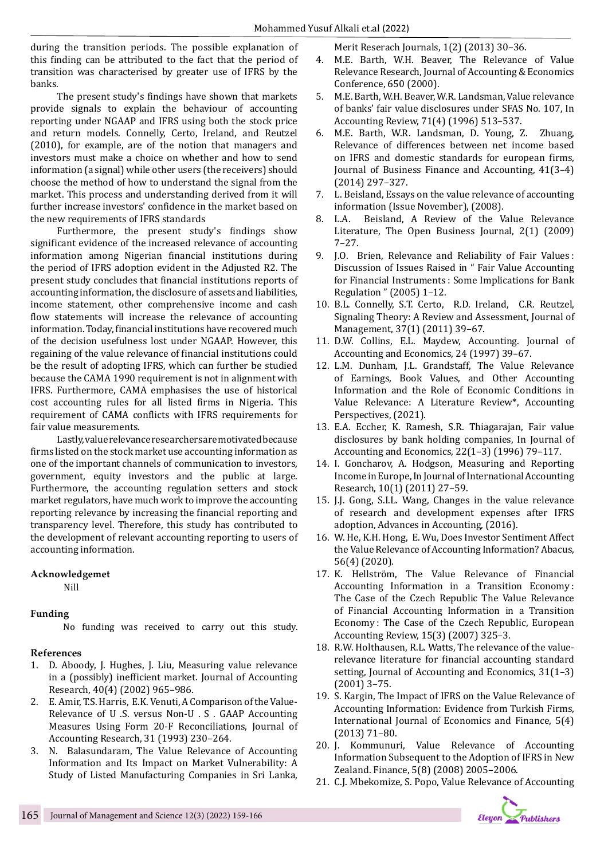during the transition periods. The possible explanation of this finding can be attributed to the fact that the period of transition was characterised by greater use of IFRS by the banks.

The present study's findings have shown that markets provide signals to explain the behaviour of accounting reporting under NGAAP and IFRS using both the stock price and return models. Connelly, Certo, Ireland, and Reutzel (2010), for example, are of the notion that managers and investors must make a choice on whether and how to send information (a signal) while other users (the receivers) should choose the method of how to understand the signal from the market. This process and understanding derived from it will further increase investors' confidence in the market based on the new requirements of IFRS standards

Furthermore, the present study's findings show significant evidence of the increased relevance of accounting information among Nigerian financial institutions during the period of IFRS adoption evident in the Adjusted R2. The present study concludes that financial institutions reports of accounting information, the disclosure of assets and liabilities, income statement, other comprehensive income and cash flow statements will increase the relevance of accounting information. Today, financial institutions have recovered much of the decision usefulness lost under NGAAP. However, this regaining of the value relevance of financial institutions could be the result of adopting IFRS, which can further be studied because the CAMA 1990 requirement is not in alignment with IFRS. Furthermore, CAMA emphasises the use of historical cost accounting rules for all listed firms in Nigeria. This requirement of CAMA conflicts with IFRS requirements for fair value measurements.

Lastly, value relevance researchers are motivated because firms listed on the stock market use accounting information as one of the important channels of communication to investors, government, equity investors and the public at large. Furthermore, the accounting regulation setters and stock market regulators, have much work to improve the accounting reporting relevance by increasing the financial reporting and transparency level. Therefore, this study has contributed to the development of relevant accounting reporting to users of accounting information.

### **Acknowledgemet**

Nill

### **Funding**

No funding was received to carry out this study.

### **References**

- 1. D. Aboody, J. Hughes, J. Liu, Measuring value relevance in a (possibly) inefficient market. Journal of Accounting Research, 40(4) (2002) 965–986.
- 2. E. Amir, T.S. Harris, E.K. Venuti, A Comparison of the Value-Relevance of U .S. versus Non-U . S . GAAP Accounting Measures Using Form 20-F Reconciliations, Journal of Accounting Research, 31 (1993) 230–264.
- 3. N. Balasundaram, The Value Relevance of Accounting Information and Its Impact on Market Vulnerability: A Study of Listed Manufacturing Companies in Sri Lanka,

Merit Reserach Journals, 1(2) (2013) 30–36.

- 4. M.E. Barth, W.H. Beaver, The Relevance of Value Relevance Research, Journal of Accounting & Economics Conference, 650 (2000).
- 5. M.E. Barth, W.H. Beaver, W.R. Landsman, Value relevance of banks' fair value disclosures under SFAS No. 107, In Accounting Review, 71(4) (1996) 513–537.
- 6. M.E. Barth, W.R. Landsman, D. Young, Z. Zhuang, Relevance of differences between net income based on IFRS and domestic standards for european firms, Journal of Business Finance and Accounting, 41(3–4) (2014) 297–327.
- 7. L. Beisland, Essays on the value relevance of accounting information (Issue November), (2008).
- 8. L.A. Beisland, A Review of the Value Relevance Literature, The Open Business Journal, 2(1) (2009) 7–27.
- 9. J.O. Brien, Relevance and Reliability of Fair Values : Discussion of Issues Raised in " Fair Value Accounting for Financial Instruments : Some Implications for Bank Regulation " (2005) 1–12.
- 10. B.L. Connelly, S.T. Certo, R.D. Ireland, C.R. Reutzel, Signaling Theory: A Review and Assessment, Journal of Management, 37(1) (2011) 39–67.
- 11. D.W. Collins, E.L. Maydew, Accounting. Journal of Accounting and Economics, 24 (1997) 39–67.
- 12. L.M. Dunham, J.L. Grandstaff, The Value Relevance of Earnings, Book Values, and Other Accounting Information and the Role of Economic Conditions in Value Relevance: A Literature Review\*, Accounting Perspectives, (2021).
- 13. E.A. Eccher, K. Ramesh, S.R. Thiagarajan, Fair value disclosures by bank holding companies, In Journal of Accounting and Economics, 22(1–3) (1996) 79–117.
- 14. I. Goncharov, A. Hodgson, Measuring and Reporting Income in Europe, In Journal of International Accounting Research, 10(1) (2011) 27–59.
- 15. J.J. Gong, S.I.L. Wang, Changes in the value relevance of research and development expenses after IFRS adoption, Advances in Accounting, (2016).
- 16. W. He, K.H. Hong, E. Wu, Does Investor Sentiment Affect the Value Relevance of Accounting Information? Abacus, 56(4) (2020).
- 17. K. Hellström, The Value Relevance of Financial Accounting Information in a Transition Economy : The Case of the Czech Republic The Value Relevance of Financial Accounting Information in a Transition Economy : The Case of the Czech Republic, European Accounting Review, 15(3) (2007) 325–3.
- 18. R.W. Holthausen, R.L. Watts, The relevance of the valuerelevance literature for financial accounting standard setting, Journal of Accounting and Economics, 31(1–3) (2001) 3–75.
- 19. S. Kargin, The Impact of IFRS on the Value Relevance of Accounting Information: Evidence from Turkish Firms, International Journal of Economics and Finance, 5(4) (2013) 71–80.
- 20. J. Kommunuri, Value Relevance of Accounting Information Subsequent to the Adoption of IFRS in New Zealand. Finance, 5(8) (2008) 2005–2006.
- 21. C.J. Mbekomize, S. Popo, Value Relevance of Accounting